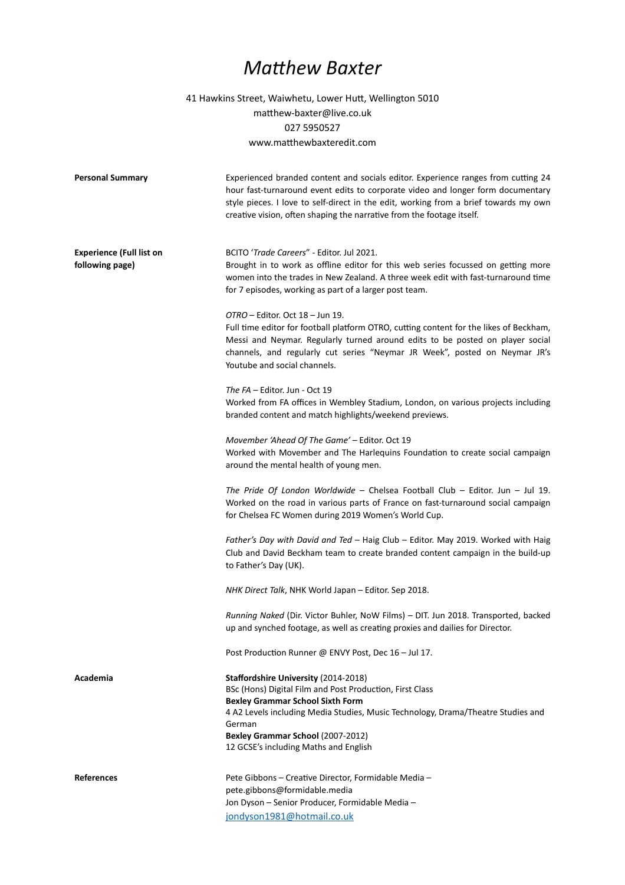## *Matthew Baxter*

41 Hawkins Street, Waiwhetu, Lower Hutt, Wellington 5010 matthew-baxter@live.co.uk 027 5950527 www.matthewbaxteredit.com

| <b>Personal Summary</b>         | Experienced branded content and socials editor. Experience ranges from cutting 24<br>hour fast-turnaround event edits to corporate video and longer form documentary<br>style pieces. I love to self-direct in the edit, working from a brief towards my own<br>creative vision, often shaping the narrative from the footage itself. |  |
|---------------------------------|---------------------------------------------------------------------------------------------------------------------------------------------------------------------------------------------------------------------------------------------------------------------------------------------------------------------------------------|--|
| <b>Experience (Full list on</b> | BCITO 'Trade Careers" - Editor. Jul 2021.                                                                                                                                                                                                                                                                                             |  |
| following page)                 | Brought in to work as offline editor for this web series focussed on getting more<br>women into the trades in New Zealand. A three week edit with fast-turnaround time<br>for 7 episodes, working as part of a larger post team.                                                                                                      |  |
|                                 | OTRO - Editor. Oct 18 - Jun 19.<br>Full time editor for football platform OTRO, cutting content for the likes of Beckham,<br>Messi and Neymar. Regularly turned around edits to be posted on player social<br>channels, and regularly cut series "Neymar JR Week", posted on Neymar JR's<br>Youtube and social channels.              |  |
|                                 | The FA - Editor. Jun - Oct 19<br>Worked from FA offices in Wembley Stadium, London, on various projects including<br>branded content and match highlights/weekend previews.                                                                                                                                                           |  |
|                                 | Movember 'Ahead Of The Game' - Editor. Oct 19<br>Worked with Movember and The Harlequins Foundation to create social campaign<br>around the mental health of young men.                                                                                                                                                               |  |
|                                 | The Pride Of London Worldwide - Chelsea Football Club - Editor. Jun - Jul 19.<br>Worked on the road in various parts of France on fast-turnaround social campaign<br>for Chelsea FC Women during 2019 Women's World Cup.                                                                                                              |  |
|                                 | Father's Day with David and Ted - Haig Club - Editor. May 2019. Worked with Haig<br>Club and David Beckham team to create branded content campaign in the build-up<br>to Father's Day (UK).                                                                                                                                           |  |
|                                 | NHK Direct Talk, NHK World Japan - Editor. Sep 2018.                                                                                                                                                                                                                                                                                  |  |
|                                 | Running Naked (Dir. Victor Buhler, NoW Films) - DIT. Jun 2018. Transported, backed<br>up and synched footage, as well as creating proxies and dailies for Director.                                                                                                                                                                   |  |
|                                 | Post Production Runner @ ENVY Post, Dec 16 - Jul 17.                                                                                                                                                                                                                                                                                  |  |
| Academia                        | Staffordshire University (2014-2018)<br>BSc (Hons) Digital Film and Post Production, First Class<br><b>Bexley Grammar School Sixth Form</b><br>4 A2 Levels including Media Studies, Music Technology, Drama/Theatre Studies and<br>German<br>Bexley Grammar School (2007-2012)<br>12 GCSE's including Maths and English               |  |
| <b>References</b>               | Pete Gibbons - Creative Director, Formidable Media -<br>pete.gibbons@formidable.media<br>Jon Dyson - Senior Producer, Formidable Media -<br>jondyson1981@hotmail.co.uk                                                                                                                                                                |  |